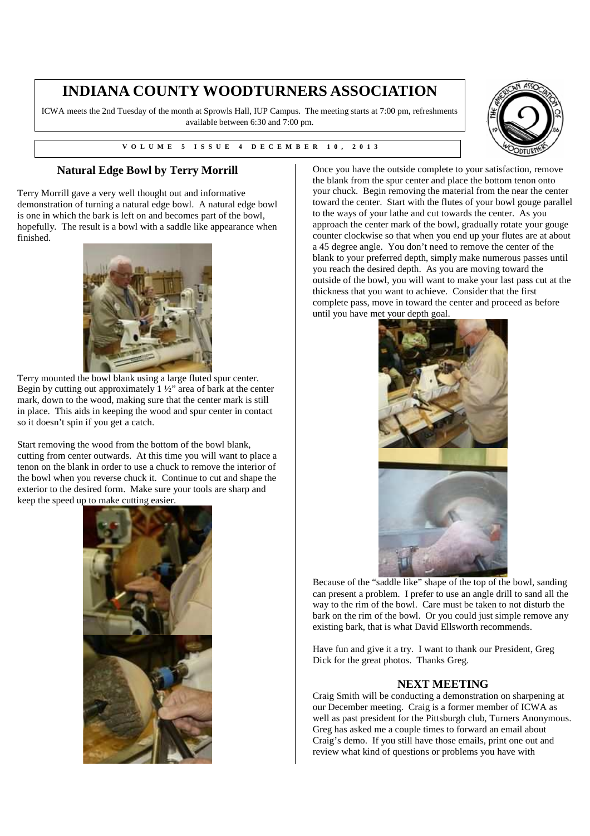## **INDIANA COUNTY WOODTURNERS ASSOCIATION**

ICWA meets the 2nd Tuesday of the month at Sprowls Hall, IUP Campus. The meeting starts at 7:00 pm, refreshments available between 6:30 and 7:00 pm.

**V V O L U M E 5 I S S U E 4 D E C E M B E R 1 0 , 2 0 1 3** 



## **Natural Edge Bowl by Terry Morrill**

Terry Morrill gave a very well thought out and informative demonstration of turning a natural edge bowl. A natural edge bowl is one in which the bark is left on and becomes part of the bowl, hopefully. The result is a bowl with a saddle like appearance when finished.



Terry mounted the bowl blank using a large fluted spur center. Begin by cutting out approximately 1 ½" area of bark at the center mark, down to the wood, making sure that the center mark is still in place. This aids in keeping the wood and spur center in contact so it doesn't spin if you get a catch.

Start removing the wood from the bottom of the bowl blank, cutting from center outwards. At this time you will want to place a tenon on the blank in order to use a chuck to remove the interior of the bowl when you reverse chuck it. Continue to cut and shape the exterior to the desired form. Make sure your tools are sharp and keep the speed up to make cutting easier.



Once you have the outside complete to your satisfaction, remove the blank from the spur center and place the bottom tenon onto your chuck. Begin removing the material from the near the center toward the center. Start with the flutes of your bowl gouge parallel to the ways of your lathe and cut towards the center. As you approach the center mark of the bowl, gradually rotate your gouge counter clockwise so that when you end up your flutes are at about a 45 degree angle. You don't need to remove the center of the blank to your preferred depth, simply make numerous passes until you reach the desired depth. As you are moving toward the outside of the bowl, you will want to make your last pass cut at the thickness that you want to achieve. Consider that the first complete pass, move in toward the center and proceed as before until you have met your depth goal.



Because of the "saddle like" shape of the top of the bowl, sanding can present a problem. I prefer to use an angle drill to sand all the way to the rim of the bowl. Care must be taken to not disturb the bark on the rim of the bowl. Or you could just simple remove any existing bark, that is what David Ellsworth recommends.

Have fun and give it a try. I want to thank our President, Greg Dick for the great photos. Thanks Greg.

## **NEXT MEETING**

Craig Smith will be conducting a demonstration on sharpening at our December meeting. Craig is a former member of ICWA as well as past president for the Pittsburgh club, Turners Anonymous. Greg has asked me a couple times to forward an email about Craig's demo. If you still have those emails, print one out and review what kind of questions or problems you have with